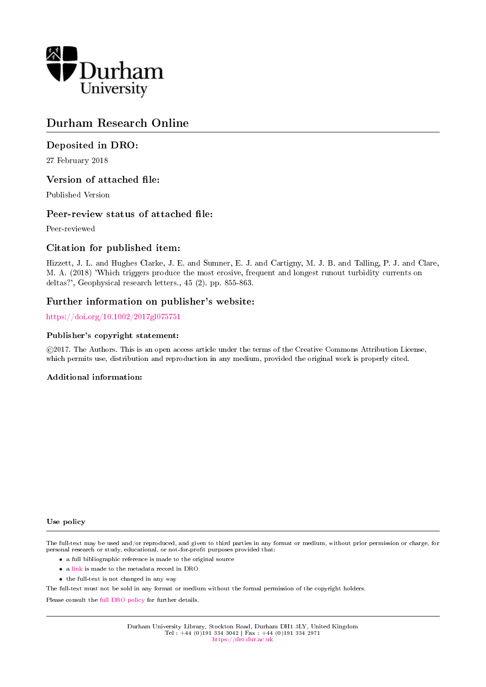

# Durham Research Online

# Deposited in DRO:

27 February 2018

### Version of attached file:

Published Version

### Peer-review status of attached file:

Peer-reviewed

## Citation for published item:

Hizzett, J. L. and Hughes Clarke, J. E. and Sumner, E. J. and Cartigny, M. J. B. and Talling, P. J. and Clare, M. A. (2018) 'Which triggers produce the most erosive, frequent and longest runout turbidity currents on deltas?', Geophysical research letters., 45 (2). pp. 855-863.

### Further information on publisher's website:

<https://doi.org/10.1002/2017gl075751>

### Publisher's copyright statement:

 c 2017. The Authors. This is an open access article under the terms of the Creative Commons Attribution License, which permits use, distribution and reproduction in any medium, provided the original work is properly cited.

### Additional information:

### Use policy

The full-text may be used and/or reproduced, and given to third parties in any format or medium, without prior permission or charge, for personal research or study, educational, or not-for-profit purposes provided that:

- a full bibliographic reference is made to the original source
- a [link](http://dro.dur.ac.uk/23834/) is made to the metadata record in DRO
- the full-text is not changed in any way

The full-text must not be sold in any format or medium without the formal permission of the copyright holders.

Please consult the [full DRO policy](https://dro.dur.ac.uk/policies/usepolicy.pdf) for further details.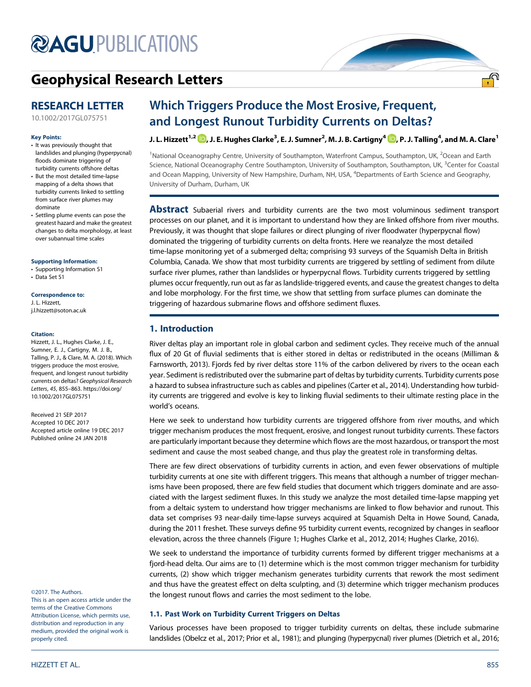# **@AGU[PUBLICATIONS](http://publications.agu.org/journals/)**

# [Geophysical Research Letters](http://onlinelibrary.wiley.com/journal/10.1002/(ISSN)1944-8007)

# RESEARCH LETTER

[10.1002/2017GL075751](http://dx.doi.org/10.1002/2017GL075751)

### Key Points:

- It was previously thought that landslides and plunging (hyperpycnal) floods dominate triggering of turbidity currents offshore deltas
- But the most detailed time-lapse mapping of a delta shows that turbidity currents linked to settling from surface river plumes may dominate
- Settling plume events can pose the greatest hazard and make the greatest changes to delta morphology, at least over subannual time scales

### [Supporting Information:](http://dx.doi.org/10.1002/2017GL075751)

- [•](http://dx.doi.org/10.1002/2017GL075751) [Supporting Information S1](http://dx.doi.org/10.1002/2017GL075751)
- [•](http://dx.doi.org/10.1002/2017GL075751) [Data Set S1](http://dx.doi.org/10.1002/2017GL075751)

### Correspondence to:

J. L. Hizzett, [j.l.hizzett@soton.ac.uk](mailto:j.l.hizzett@soton.ac.uk)

### Citation:

Hizzett, J. L., Hughes Clarke, J. E., Sumner, E. J., Cartigny, M. J. B., Talling, P. J., & Clare, M. A. (2018). Which triggers produce the most erosive, frequent, and longest runout turbidity currents on deltas? Geophysical Research Letters, 45, 855–863. [https://doi.org/](https://doi.org/10.1002/2017GL075751) [10.1002/2017GL075751](https://doi.org/10.1002/2017GL075751)

Received 21 SEP 2017 Accepted 10 DEC 2017 Accepted article online 19 DEC 2017 Published online 24 JAN 2018

### ©2017. The Authors.

This is an open access article under the terms of the Creative Commons Attribution License, which permits use, distribution and reproduction in any medium, provided the original work is properly cited.

# Which Triggers Produce the Most Erosive, Frequent, and Longest Runout Turbidity Currents on Deltas?

J. L. Hizzett  $^{1,2}$   $\blacksquare$ , J. E. Hughes Clarke $^3$ , E. J. Sumner $^2$ , M. J. B. Cartigny $^4$   $\blacksquare$ , P. J. Talling $^4$ , and M. A. Clare $^1$ 

<sup>1</sup>National Oceanography Centre, University of Southampton, Waterfront Campus, Southampton, UK, <sup>2</sup>Ocean and Earth Science, National Oceanography Centre Southampton, University of Southampton, Southampton, UK, <sup>3</sup>Center for Coastal and Ocean Mapping, University of New Hampshire, Durham, NH, USA, <sup>4</sup> Departments of Earth Science and Geography, University of Durham, Durham, UK

Abstract Subaerial rivers and turbidity currents are the two most voluminous sediment transport processes on our planet, and it is important to understand how they are linked offshore from river mouths. Previously, it was thought that slope failures or direct plunging of river floodwater (hyperpycnal flow) dominated the triggering of turbidity currents on delta fronts. Here we reanalyze the most detailed time-lapse monitoring yet of a submerged delta; comprising 93 surveys of the Squamish Delta in British Columbia, Canada. We show that most turbidity currents are triggered by settling of sediment from dilute surface river plumes, rather than landslides or hyperpycnal flows. Turbidity currents triggered by settling plumes occur frequently, run out as far as landslide-triggered events, and cause the greatest changes to delta and lobe morphology. For the first time, we show that settling from surface plumes can dominate the triggering of hazardous submarine flows and offshore sediment fluxes.

### 1. Introduction

River deltas play an important role in global carbon and sediment cycles. They receive much of the annual flux of 20 Gt of fluvial sediments that is either stored in deltas or redistributed in the oceans (Milliman & Farnsworth, 2013). Fjords fed by river deltas store 11% of the carbon delivered by rivers to the ocean each year. Sediment is redistributed over the submarine part of deltas by turbidity currents. Turbidity currents pose a hazard to subsea infrastructure such as cables and pipelines (Carter et al., 2014). Understanding how turbidity currents are triggered and evolve is key to linking fluvial sediments to their ultimate resting place in the world's oceans.

Here we seek to understand how turbidity currents are triggered offshore from river mouths, and which trigger mechanism produces the most frequent, erosive, and longest runout turbidity currents. These factors are particularly important because they determine which flows are the most hazardous, or transport the most sediment and cause the most seabed change, and thus play the greatest role in transforming deltas.

There are few direct observations of turbidity currents in action, and even fewer observations of multiple turbidity currents at one site with different triggers. This means that although a number of trigger mechanisms have been proposed, there are few field studies that document which triggers dominate and are associated with the largest sediment fluxes. In this study we analyze the most detailed time-lapse mapping yet from a deltaic system to understand how trigger mechanisms are linked to flow behavior and runout. This data set comprises 93 near-daily time-lapse surveys acquired at Squamish Delta in Howe Sound, Canada, during the 2011 freshet. These surveys define 95 turbidity current events, recognized by changes in seafloor elevation, across the three channels (Figure 1; Hughes Clarke et al., 2012, 2014; Hughes Clarke, 2016).

We seek to understand the importance of turbidity currents formed by different trigger mechanisms at a fjord-head delta. Our aims are to (1) determine which is the most common trigger mechanism for turbidity currents, (2) show which trigger mechanism generates turbidity currents that rework the most sediment and thus have the greatest effect on delta sculpting, and (3) determine which trigger mechanism produces the longest runout flows and carries the most sediment to the lobe.

### 1.1. Past Work on Turbidity Current Triggers on Deltas

Various processes have been proposed to trigger turbidity currents on deltas, these include submarine landslides (Obelcz et al., 2017; Prior et al., 1981); and plunging (hyperpycnal) river plumes (Dietrich et al., 2016;

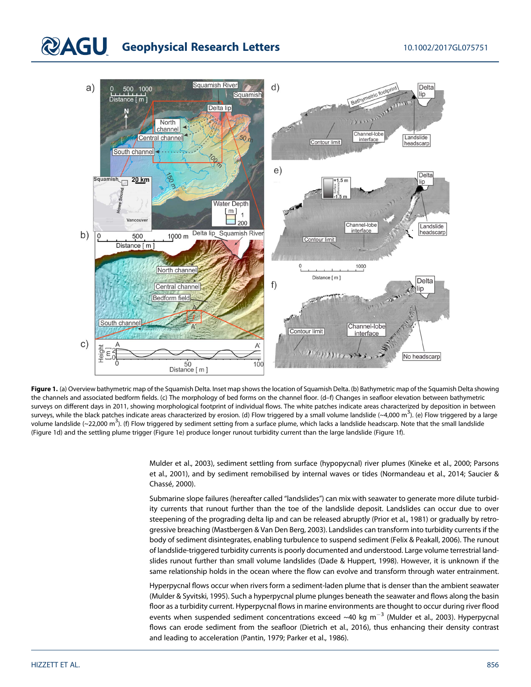# **QAGU** Geophysical Research Letters 10.1002/2017GL075751



Figure 1. (a) Overview bathymetric map of the Squamish Delta. Inset map shows the location of Squamish Delta. (b) Bathymetric map of the Squamish Delta showing the channels and associated bedform fields. (c) The morphology of bed forms on the channel floor. (d–f) Changes in seafloor elevation between bathymetric surveys on different days in 2011, showing morphological footprint of individual flows. The white patches indicate areas characterized by deposition in between surveys, while the black patches indicate areas characterized by erosion. (d) Flow triggered by a small volume landslide (~4,000 m<sup>3</sup>). (e) Flow triggered by a large volume landslide (~22,000 m<sup>3</sup>). (f) Flow triggered by sediment setting from a surface plume, which lacks a landslide headscarp. Note that the small landslide (Figure 1d) and the settling plume trigger (Figure 1e) produce longer runout turbidity current than the large landslide (Figure 1f).

> Mulder et al., 2003), sediment settling from surface (hypopycnal) river plumes (Kineke et al., 2000; Parsons et al., 2001), and by sediment remobilised by internal waves or tides (Normandeau et al., 2014; Saucier & Chassé, 2000).

> Submarine slope failures (hereafter called "landslides") can mix with seawater to generate more dilute turbidity currents that runout further than the toe of the landslide deposit. Landslides can occur due to over steepening of the prograding delta lip and can be released abruptly (Prior et al., 1981) or gradually by retrogressive breaching (Mastbergen & Van Den Berg, 2003). Landslides can transform into turbidity currents if the body of sediment disintegrates, enabling turbulence to suspend sediment (Felix & Peakall, 2006). The runout of landslide-triggered turbidity currents is poorly documented and understood. Large volume terrestrial landslides runout further than small volume landslides (Dade & Huppert, 1998). However, it is unknown if the same relationship holds in the ocean where the flow can evolve and transform through water entrainment.

> Hyperpycnal flows occur when rivers form a sediment-laden plume that is denser than the ambient seawater (Mulder & Syvitski, 1995). Such a hyperpycnal plume plunges beneath the seawater and flows along the basin floor as a turbidity current. Hyperpycnal flows in marine environments are thought to occur during river flood events when suspended sediment concentrations exceed  $\sim$ 40 kg m<sup>-3</sup> (Mulder et al., 2003). Hyperpycnal flows can erode sediment from the seafloor (Dietrich et al., 2016), thus enhancing their density contrast and leading to acceleration (Pantin, 1979; Parker et al., 1986).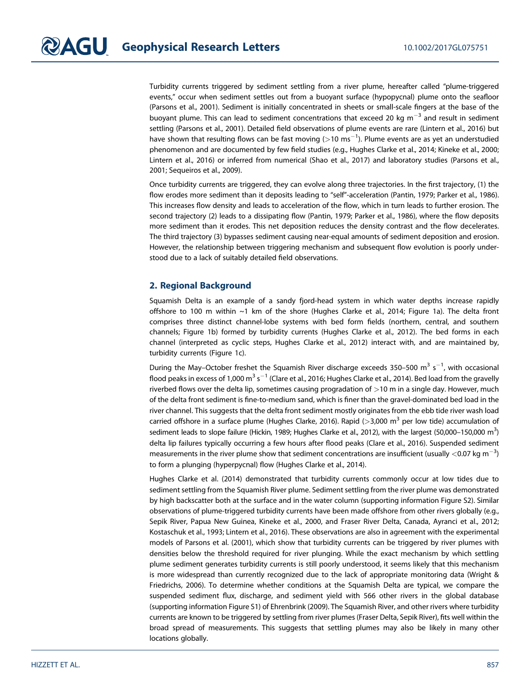Turbidity currents triggered by sediment settling from a river plume, hereafter called "plume-triggered events," occur when sediment settles out from a buoyant surface (hypopycnal) plume onto the seafloor (Parsons et al., 2001). Sediment is initially concentrated in sheets or small-scale fingers at the base of the buoyant plume. This can lead to sediment concentrations that exceed 20 kg  $m^{-3}$  and result in sediment settling (Parsons et al., 2001). Detailed field observations of plume events are rare (Lintern et al., 2016) but have shown that resulting flows can be fast moving ( $>$ 10 ms $^{-1}$ ). Plume events are as yet an understudied phenomenon and are documented by few field studies (e.g., Hughes Clarke et al., 2014; Kineke et al., 2000; Lintern et al., 2016) or inferred from numerical (Shao et al., 2017) and laboratory studies (Parsons et al., 2001; Sequeiros et al., 2009).

Once turbidity currents are triggered, they can evolve along three trajectories. In the first trajectory, (1) the flow erodes more sediment than it deposits leading to "self"-acceleration (Pantin, 1979; Parker et al., 1986). This increases flow density and leads to acceleration of the flow, which in turn leads to further erosion. The second trajectory (2) leads to a dissipating flow (Pantin, 1979; Parker et al., 1986), where the flow deposits more sediment than it erodes. This net deposition reduces the density contrast and the flow decelerates. The third trajectory (3) bypasses sediment causing near-equal amounts of sediment deposition and erosion. However, the relationship between triggering mechanism and subsequent flow evolution is poorly understood due to a lack of suitably detailed field observations.

### 2. Regional Background

Squamish Delta is an example of a sandy fjord-head system in which water depths increase rapidly offshore to 100 m within ~1 km of the shore (Hughes Clarke et al., 2014; Figure 1a). The delta front comprises three distinct channel-lobe systems with bed form fields (northern, central, and southern channels; Figure 1b) formed by turbidity currents (Hughes Clarke et al., 2012). The bed forms in each channel (interpreted as cyclic steps, Hughes Clarke et al., 2012) interact with, and are maintained by, turbidity currents (Figure 1c).

During the May–October freshet the Squamish River discharge exceeds 350–500  $\mathrm{m^{3}~s^{-1}}$ , with occasional flood peaks in excess of 1,000 m $^3$  s $^{-1}$  (Clare et al., 2016; Hughes Clarke et al., 2014). Bed load from the gravelly riverbed flows over the delta lip, sometimes causing progradation of >10 m in a single day. However, much of the delta front sediment is fine-to-medium sand, which is finer than the gravel-dominated bed load in the river channel. This suggests that the delta front sediment mostly originates from the ebb tide river wash load carried offshore in a surface plume (Hughes Clarke, 2016). Rapid ( $>$ 3,000 m<sup>3</sup> per low tide) accumulation of sediment leads to slope failure (Hickin, 1989; Hughes Clarke et al., 2012), with the largest (50,000–150,000 m $^3$ ) delta lip failures typically occurring a few hours after flood peaks (Clare et al., 2016). Suspended sediment measurements in the river plume show that sediment concentrations are insufficient (usually  $<$  0.07 kg m $^{-3})$ to form a plunging (hyperpycnal) flow (Hughes Clarke et al., 2014).

Hughes Clarke et al. (2014) demonstrated that turbidity currents commonly occur at low tides due to sediment settling from the Squamish River plume. Sediment settling from the river plume was demonstrated by high backscatter both at the surface and in the water column (supporting information Figure S2). Similar observations of plume-triggered turbidity currents have been made offshore from other rivers globally (e.g., Sepik River, Papua New Guinea, Kineke et al., 2000, and Fraser River Delta, Canada, Ayranci et al., 2012; Kostaschuk et al., 1993; Lintern et al., 2016). These observations are also in agreement with the experimental models of Parsons et al. (2001), which show that turbidity currents can be triggered by river plumes with densities below the threshold required for river plunging. While the exact mechanism by which settling plume sediment generates turbidity currents is still poorly understood, it seems likely that this mechanism is more widespread than currently recognized due to the lack of appropriate monitoring data (Wright & Friedrichs, 2006). To determine whether conditions at the Squamish Delta are typical, we compare the suspended sediment flux, discharge, and sediment yield with 566 other rivers in the global database (supporting information Figure S1) of Ehrenbrink (2009). The Squamish River, and other rivers where turbidity currents are known to be triggered by settling from river plumes (Fraser Delta, Sepik River), fits well within the broad spread of measurements. This suggests that settling plumes may also be likely in many other locations globally.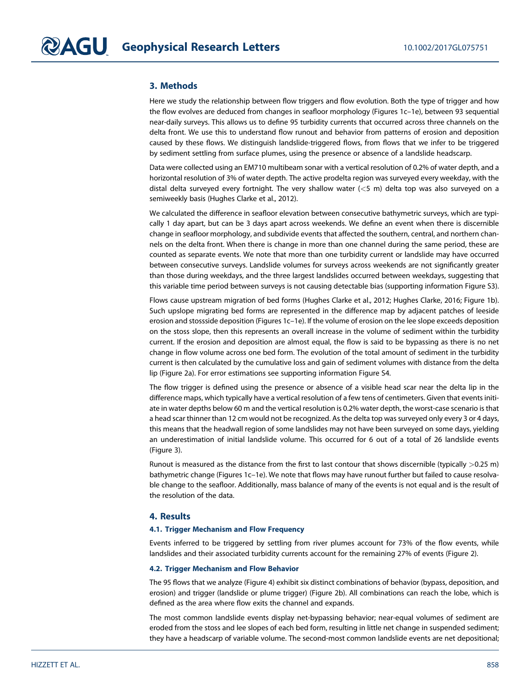### 3. Methods

Here we study the relationship between flow triggers and flow evolution. Both the type of trigger and how the flow evolves are deduced from changes in seafloor morphology (Figures 1c–1e), between 93 sequential near-daily surveys. This allows us to define 95 turbidity currents that occurred across three channels on the delta front. We use this to understand flow runout and behavior from patterns of erosion and deposition caused by these flows. We distinguish landslide-triggered flows, from flows that we infer to be triggered by sediment settling from surface plumes, using the presence or absence of a landslide headscarp.

Data were collected using an EM710 multibeam sonar with a vertical resolution of 0.2% of water depth, and a horizontal resolution of 3% of water depth. The active prodelta region was surveyed every weekday, with the distal delta surveyed every fortnight. The very shallow water (<5 m) delta top was also surveyed on a semiweekly basis (Hughes Clarke et al., 2012).

We calculated the difference in seafloor elevation between consecutive bathymetric surveys, which are typically 1 day apart, but can be 3 days apart across weekends. We define an event when there is discernible change in seafloor morphology, and subdivide events that affected the southern, central, and northern channels on the delta front. When there is change in more than one channel during the same period, these are counted as separate events. We note that more than one turbidity current or landslide may have occurred between consecutive surveys. Landslide volumes for surveys across weekends are not significantly greater than those during weekdays, and the three largest landslides occurred between weekdays, suggesting that this variable time period between surveys is not causing detectable bias (supporting information Figure S3).

Flows cause upstream migration of bed forms (Hughes Clarke et al., 2012; Hughes Clarke, 2016; Figure 1b). Such upslope migrating bed forms are represented in the difference map by adjacent patches of leeside erosion and stossside deposition (Figures 1c–1e). If the volume of erosion on the lee slope exceeds deposition on the stoss slope, then this represents an overall increase in the volume of sediment within the turbidity current. If the erosion and deposition are almost equal, the flow is said to be bypassing as there is no net change in flow volume across one bed form. The evolution of the total amount of sediment in the turbidity current is then calculated by the cumulative loss and gain of sediment volumes with distance from the delta lip (Figure 2a). For error estimations see supporting information Figure S4.

The flow trigger is defined using the presence or absence of a visible head scar near the delta lip in the difference maps, which typically have a vertical resolution of a few tens of centimeters. Given that events initiate in water depths below 60 m and the vertical resolution is 0.2% water depth, the worst-case scenario is that a head scar thinner than 12 cm would not be recognized. As the delta top was surveyed only every 3 or 4 days, this means that the headwall region of some landslides may not have been surveyed on some days, yielding an underestimation of initial landslide volume. This occurred for 6 out of a total of 26 landslide events (Figure 3).

Runout is measured as the distance from the first to last contour that shows discernible (typically >0.25 m) bathymetric change (Figures 1c–1e). We note that flows may have runout further but failed to cause resolvable change to the seafloor. Additionally, mass balance of many of the events is not equal and is the result of the resolution of the data.

### 4. Results

### 4.1. Trigger Mechanism and Flow Frequency

Events inferred to be triggered by settling from river plumes account for 73% of the flow events, while landslides and their associated turbidity currents account for the remaining 27% of events (Figure 2).

### 4.2. Trigger Mechanism and Flow Behavior

The 95 flows that we analyze (Figure 4) exhibit six distinct combinations of behavior (bypass, deposition, and erosion) and trigger (landslide or plume trigger) (Figure 2b). All combinations can reach the lobe, which is defined as the area where flow exits the channel and expands.

The most common landslide events display net-bypassing behavior; near-equal volumes of sediment are eroded from the stoss and lee slopes of each bed form, resulting in little net change in suspended sediment; they have a headscarp of variable volume. The second-most common landslide events are net depositional;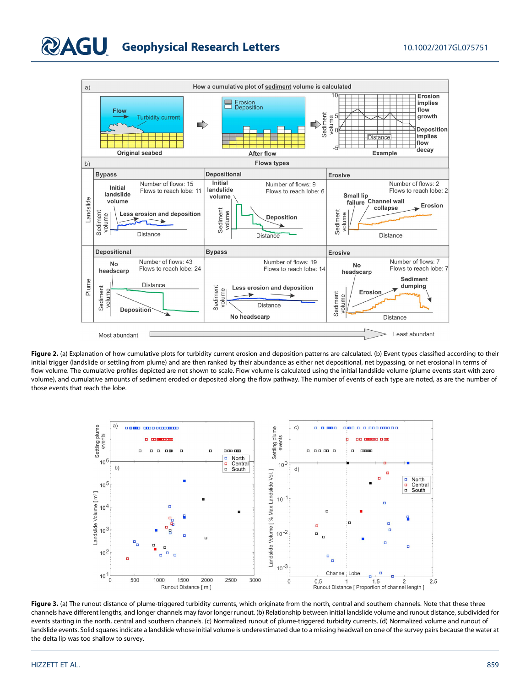# **DAGU** Geophysical Research Letters 10.1002/2017GL075751



Figure 2. (a) Explanation of how cumulative plots for turbidity current erosion and deposition patterns are calculated. (b) Event types classified according to their initial trigger (landslide or settling from plume) and are then ranked by their abundance as either net depositional, net bypassing, or net erosional in terms of flow volume. The cumulative profiles depicted are not shown to scale. Flow volume is calculated using the initial landslide volume (plume events start with zero volume), and cumulative amounts of sediment eroded or deposited along the flow pathway. The number of events of each type are noted, as are the number of those events that reach the lobe.



Figure 3. (a) The runout distance of plume-triggered turbidity currents, which originate from the north, central and southern channels. Note that these three channels have different lengths, and longer channels may favor longer runout. (b) Relationship between initial landslide volume and runout distance, subdivided for events starting in the north, central and southern channels. (c) Normalized runout of plume-triggered turbidity currents. (d) Normalized volume and runout of landslide events. Solid squares indicate a landslide whose initial volume is underestimated due to a missing headwall on one of the survey pairs because the water at the delta lip was too shallow to survey.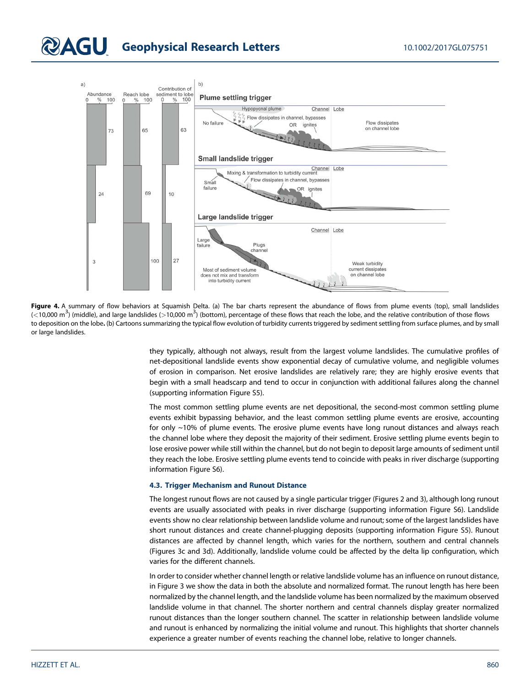# **QAGU** Geophysical Research Letters 10.1002/2017GL075751



Figure 4. A summary of flow behaviors at Squamish Delta. (a) The bar charts represent the abundance of flows from plume events (top), small landslides (<10,000 m<sup>3</sup>) (middle), and large landslides (>10,000 m<sup>3</sup>) (bottom), percentage of these flows that reach the lobe, and the relative contribution of those flows to deposition on the lobe. (b) Cartoons summarizing the typical flow evolution of turbidity currents triggered by sediment settling from surface plumes, and by small or large landslides.

> they typically, although not always, result from the largest volume landslides. The cumulative profiles of net-depositional landslide events show exponential decay of cumulative volume, and negligible volumes of erosion in comparison. Net erosive landslides are relatively rare; they are highly erosive events that begin with a small headscarp and tend to occur in conjunction with additional failures along the channel (supporting information Figure S5).

> The most common settling plume events are net depositional, the second-most common settling plume events exhibit bypassing behavior, and the least common settling plume events are erosive, accounting for only ~10% of plume events. The erosive plume events have long runout distances and always reach the channel lobe where they deposit the majority of their sediment. Erosive settling plume events begin to lose erosive power while still within the channel, but do not begin to deposit large amounts of sediment until they reach the lobe. Erosive settling plume events tend to coincide with peaks in river discharge (supporting information Figure S6).

### 4.3. Trigger Mechanism and Runout Distance

The longest runout flows are not caused by a single particular trigger (Figures 2 and 3), although long runout events are usually associated with peaks in river discharge (supporting information Figure S6). Landslide events show no clear relationship between landslide volume and runout; some of the largest landslides have short runout distances and create channel-plugging deposits (supporting information Figure S5). Runout distances are affected by channel length, which varies for the northern, southern and central channels (Figures 3c and 3d). Additionally, landslide volume could be affected by the delta lip configuration, which varies for the different channels.

In order to consider whether channel length or relative landslide volume has an influence on runout distance, in Figure 3 we show the data in both the absolute and normalized format. The runout length has here been normalized by the channel length, and the landslide volume has been normalized by the maximum observed landslide volume in that channel. The shorter northern and central channels display greater normalized runout distances than the longer southern channel. The scatter in relationship between landslide volume and runout is enhanced by normalizing the initial volume and runout. This highlights that shorter channels experience a greater number of events reaching the channel lobe, relative to longer channels.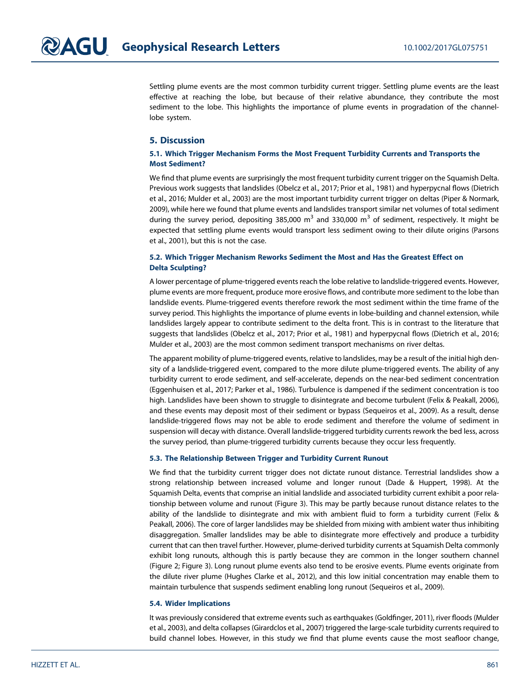Settling plume events are the most common turbidity current trigger. Settling plume events are the least effective at reaching the lobe, but because of their relative abundance, they contribute the most sediment to the lobe. This highlights the importance of plume events in progradation of the channellobe system.

### 5. Discussion

### 5.1. Which Trigger Mechanism Forms the Most Frequent Turbidity Currents and Transports the Most Sediment?

We find that plume events are surprisingly the most frequent turbidity current trigger on the Squamish Delta. Previous work suggests that landslides (Obelcz et al., 2017; Prior et al., 1981) and hyperpycnal flows (Dietrich et al., 2016; Mulder et al., 2003) are the most important turbidity current trigger on deltas (Piper & Normark, 2009), while here we found that plume events and landslides transport similar net volumes of total sediment during the survey period, depositing 385,000  $m^3$  and 330,000  $m^3$  of sediment, respectively. It might be expected that settling plume events would transport less sediment owing to their dilute origins (Parsons et al., 2001), but this is not the case.

### 5.2. Which Trigger Mechanism Reworks Sediment the Most and Has the Greatest Effect on Delta Sculpting?

A lower percentage of plume-triggered events reach the lobe relative to landslide-triggered events. However, plume events are more frequent, produce more erosive flows, and contribute more sediment to the lobe than landslide events. Plume-triggered events therefore rework the most sediment within the time frame of the survey period. This highlights the importance of plume events in lobe-building and channel extension, while landslides largely appear to contribute sediment to the delta front. This is in contrast to the literature that suggests that landslides (Obelcz et al., 2017; Prior et al., 1981) and hyperpycnal flows (Dietrich et al., 2016; Mulder et al., 2003) are the most common sediment transport mechanisms on river deltas.

The apparent mobility of plume-triggered events, relative to landslides, may be a result of the initial high density of a landslide-triggered event, compared to the more dilute plume-triggered events. The ability of any turbidity current to erode sediment, and self-accelerate, depends on the near-bed sediment concentration (Eggenhuisen et al., 2017; Parker et al., 1986). Turbulence is dampened if the sediment concentration is too high. Landslides have been shown to struggle to disintegrate and become turbulent (Felix & Peakall, 2006), and these events may deposit most of their sediment or bypass (Sequeiros et al., 2009). As a result, dense landslide-triggered flows may not be able to erode sediment and therefore the volume of sediment in suspension will decay with distance. Overall landslide-triggered turbidity currents rework the bed less, across the survey period, than plume-triggered turbidity currents because they occur less frequently.

### 5.3. The Relationship Between Trigger and Turbidity Current Runout

We find that the turbidity current trigger does not dictate runout distance. Terrestrial landslides show a strong relationship between increased volume and longer runout (Dade & Huppert, 1998). At the Squamish Delta, events that comprise an initial landslide and associated turbidity current exhibit a poor relationship between volume and runout (Figure 3). This may be partly because runout distance relates to the ability of the landslide to disintegrate and mix with ambient fluid to form a turbidity current (Felix & Peakall, 2006). The core of larger landslides may be shielded from mixing with ambient water thus inhibiting disaggregation. Smaller landslides may be able to disintegrate more effectively and produce a turbidity current that can then travel further. However, plume-derived turbidity currents at Squamish Delta commonly exhibit long runouts, although this is partly because they are common in the longer southern channel (Figure 2; Figure 3). Long runout plume events also tend to be erosive events. Plume events originate from the dilute river plume (Hughes Clarke et al., 2012), and this low initial concentration may enable them to maintain turbulence that suspends sediment enabling long runout (Sequeiros et al., 2009).

### 5.4. Wider Implications

It was previously considered that extreme events such as earthquakes (Goldfinger, 2011), river floods (Mulder et al., 2003), and delta collapses (Girardclos et al., 2007) triggered the large-scale turbidity currents required to build channel lobes. However, in this study we find that plume events cause the most seafloor change,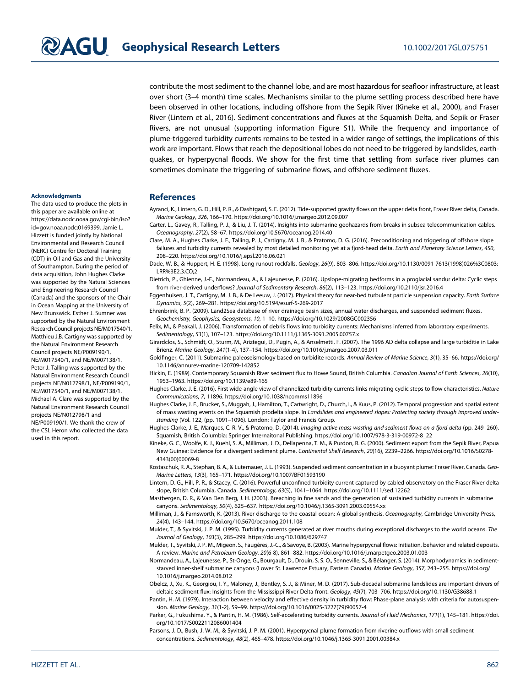contribute the most sediment to the channel lobe, and are most hazardous for seafloor infrastructure, at least over short (3–4 month) time scales. Mechanisms similar to the plume settling process described here have been observed in other locations, including offshore from the Sepik River (Kineke et al., 2000), and Fraser River (Lintern et al., 2016). Sediment concentrations and fluxes at the Squamish Delta, and Sepik or Fraser Rivers, are not unusual (supporting information Figure S1). While the frequency and importance of plume-triggered turbidity currents remains to be tested in a wider range of settings, the implications of this work are important. Flows that reach the depositional lobes do not need to be triggered by landslides, earthquakes, or hyperpycnal floods. We show for the first time that settling from surface river plumes can sometimes dominate the triggering of submarine flows, and offshore sediment fluxes.

### Acknowledgments

The data used to produce the plots in this paper are available online at [https://data.nodc.noaa.gov/cgi-bin/iso?](https://data.nodc.noaa.gov/cgi-bin/iso?id=gov.noaa.nodc:0169399) [id=gov.noaa.nodc:0169399](https://data.nodc.noaa.gov/cgi-bin/iso?id=gov.noaa.nodc:0169399). Jamie L. Hizzett is funded jointly by National Environmental and Research Council (NERC) Centre for Doctoral Training (CDT) in Oil and Gas and the University of Southampton. During the period of data acquisition, John Hughes Clarke was supported by the Natural Sciences and Engineering Research Council (Canada) and the sponsors of the Chair in Ocean Mapping at the University of New Brunswick. Esther J. Sumner was supported by the Natural Environment Research Council projects NE/M017540/1. Matthieu J.B. Cartigny was supported by the Natural Environment Research Council projects NE/P009190/1, NE/M017540/1, and NE/M007138/1. Peter J. Talling was supported by the Natural Environment Research Council projects NE/N012798/1, NE/P009190/1, NE/M017540/1, and NE/M007138/1. Michael A. Clare was supported by the Natural Environment Research Council projects NE/N012798/1 and NE/P009190/1. We thank the crew of the CSL Heron who collected the data used in this report.

### **References**

- Ayranci, K., Lintern, G. D., Hill, P. R., & Dashtgard, S. E. (2012). Tide-supported gravity flows on the upper delta front, Fraser River delta, Canada. Marine Geology, 326, 166–170. [https://doi.org/10.1016/j.margeo.2012.09.007](https://data.nodc.noaa.gov/cgi-bin/iso?id=gov.noaa.nodc:0169399)
- Carter, L., Gavey, R., Talling, P. J., & Liu, J. T. (2014). Insights into submarine geohazards from breaks in subsea telecommunication cables. Oceanography, 27(2), 58–67.<https://doi.org/10.5670/oceanog.2014.40>
- Clare, M. A., Hughes Clarke, J. E., Talling, P. J., Cartigny, M. J. B., & Pratomo, D. G. (2016). Preconditioning and triggering of offshore slope failures and turbidity currents revealed by most detailed monitoring yet at a fjord-head delta. Earth and Planetary Science Letters, 450, 208–220.<https://doi.org/10.1016/j.epsl.2016.06.021>
- Dade, W. B., & Huppert, H. E. (1998). Long-runout rockfalls. Geology, 26(9), 803–806. [https://doi.org/10.1130/0091-7613\(1998\)026%3C0803:](https://doi.org/10.1130/0091-7613(1998)026%3C0803:LRR%3E2.3.CO;2) [LRR%3E2.3.CO;2](https://doi.org/10.1130/0091-7613(1998)026%3C0803:LRR%3E2.3.CO;2)
- Dietrich, P., Ghienne, J.-F., Normandeau, A., & Lajeunesse, P. (2016). Upslope-migrating bedforms in a proglacial sandur delta: Cyclic steps from river-derived underflows? Journal of Sedimentary Research, 86(2), 113–123.<https://doi.org/10.2110/jsr.2016.4>
- Eggenhuisen, J. T., Cartigny, M. J. B., & De Leeuw, J. (2017). Physical theory for near-bed turbulent particle suspension capacity. Earth Surface Dynamics, 5(2), 269–281.<https://doi.org/10.5194/esurf-5-269-2017>
	- Ehrenbrink, B. P. (2009). Land2Sea database of river drainage basin sizes, annual water discharges, and suspended sediment fluxes. Geochemistry, Geophysics, Geosystems, 10, 1–10.<https://doi.org/10.1029/2008GC002356>
- Felix, M., & Peakall, J. (2006). Transformation of debris flows into turbidity currents: Mechanisms inferred from laboratory experiments. Sedimentology, 53(1), 107–123.<https://doi.org/10.1111/j.1365-3091.2005.00757.x>
- Girardclos, S., Schmidt, O., Sturm, M., Ariztegui, D., Pugin, A., & Anselmetti, F. (2007). The 1996 AD delta collapse and large turbiditie in Lake Brienz. Marine Geology, 241(1-4), 137–154.<https://doi.org/10.1016/j.margeo.2007.03.011>
- Goldfinger, C. (2011). Submarine paleoseismology based on turbidite records. Annual Review of Marine Science, 3(1), 35–66. [https://doi.org/](https://doi.org/10.1146/annurev-marine-120709-142852) [10.1146/annurev-marine-120709-142852](https://doi.org/10.1146/annurev-marine-120709-142852)
- Hickin, E. (1989). Contemporary Squamish River sediment flux to Howe Sound, British Columbia. Canadian Journal of Earth Sciences, 26(10), 1953–1963.<https://doi.org/10.1139/e89-165>
- Hughes Clarke, J. E. (2016). First wide-angle view of channelized turbidity currents links migrating cyclic steps to flow characteristics. Nature Communications, 7, 11896.<https://doi.org/10.1038/ncomms11896>
- Hughes Clarke, J. E., Brucker, S., Muggah, J., Hamilton, T., Cartwright, D., Church, I., & Kuus, P. (2012). Temporal progression and spatial extent of mass wasting events on the Squamish prodelta slope. In Landslides and engineered slopes: Protecting society through improved understanding (Vol. 122, (pp. 1091–1096). London: Taylor and Francis Group.
- Hughes Clarke, J. E., Marques, C. R. V., & Pratomo, D. (2014). Imaging active mass-wasting and sediment flows on a fjord delta (pp. 249–260). Squamish, British Columbia: Springer Internaitonal Publishing. [https://doi.org/10.1007/978-3-319-00972-8\\_22](https://doi.org/10.1007/978-3-319-00972-8_22)
- Kineke, G. C., Woolfe, K. J., Kuehl, S. A., Milliman, J. D., Dellapenna, T. M., & Purdon, R. G. (2000). Sediment export from the Sepik River, Papua New Guinea: Evidence for a divergent sediment plume. Continental Shelf Research, 20(16), 2239–2266. [https://doi.org/10.1016/S0278-](https://doi.org/10.1016/S0278-4343(00)00069-8) [4343\(00\)00069-8](https://doi.org/10.1016/S0278-4343(00)00069-8)
- Kostaschuk, R. A., Stephan, B. A., & Luternauer, J. L. (1993). Suspended sediment concentration in a buoyant plume: Fraser River, Canada. Geo-Marine Letters, 13(3), 165–171.<https://doi.org/10.1007/BF01593190>
- Lintern, D. G., Hill, P. R., & Stacey, C. (2016). Powerful unconfined turbidity current captured by cabled observatory on the Fraser River delta slope, British Columbia, Canada. Sedimentology, 63(5), 1041–1064.<https://doi.org/10.1111/sed.12262>
- Mastbergen, D. R., & Van Den Berg, J. H. (2003). Breaching in fine sands and the generation of sustained turbidity currents in submarine canyons. Sedimentology, 50(4), 625–637.<https://doi.org/10.1046/j.1365-3091.2003.00554.xx>
- Milliman, J., & Farnsworth, K. (2013). River discharge to the coastal ocean: A global synthesis. Oceanography, Cambridge University Press, 24(4), 143–144.<https://doi.org/10.5670/oceanog.2011.108>
- Mulder, T., & Syvitski, J. P. M. (1995). Turbidity currents generated at river mouths during exceptional discharges to the world oceans. The Journal of Geology, 103(3), 285–299.<https://doi.org/10.1086/629747>
- Mulder, T., Syvitski, J. P. M., Migeon, S., Faugères, J.-C., & Savoye, B. (2003). Marine hyperpycnal flows: Initiation, behavior and related deposits. A review. Marine and Petroleum Geology, 20(6-8), 861–882.<https://doi.org/10.1016/j.marpetgeo.2003.01.003>
- Normandeau, A., Lajeunesse, P., St-Onge, G., Bourgault, D., Drouin, S. S. O., Senneville, S., & Bélanger, S. (2014). Morphodynamics in sedimentstarved inner-shelf submarine canyons (Lower St. Lawrence Estuary, Eastern Canada). Marine Geology, 357, 243–255. [https://doi.org/](https://doi.org/10.1016/j.margeo.2014.08.012) [10.1016/j.margeo.2014.08.012](https://doi.org/10.1016/j.margeo.2014.08.012)
- Obelcz, J., Xu, K., Georgiou, I. Y., Maloney, J., Bentley, S. J., & Miner, M. D. (2017). Sub-decadal submarine landslides are important drivers of deltaic sediment flux: Insights from the Mississippi River Delta front. Geology, 45(7), 703–706.<https://doi.org/10.1130/G38688.1>
- Pantin, H. M. (1979). Interaction between velocity and effective density in turbidity flow: Phase-plane analysis with criteria for autosuspension. Marine Geology, 31(1-2), 59–99. [https://doi.org/10.1016/0025-3227\(79\)90057-4](https://doi.org/10.1016/0025-3227(79)90057-4)
- Parker, G., Fukushima, Y., & Pantin, H. M. (1986). Self-accelerating turbidity currents. Journal of Fluid Mechanics, 171(1), 145-181. [https://doi.](https://doi.org/10.1017/S0022112086001404) [org/10.1017/S0022112086001404](https://doi.org/10.1017/S0022112086001404)
- Parsons, J. D., Bush, J. W. M., & Syvitski, J. P. M. (2001). Hyperpycnal plume formation from riverine outflows with small sediment concentrations. Sedimentology, 48(2), 465–478.<https://doi.org/10.1046/j.1365-3091.2001.00384.x>